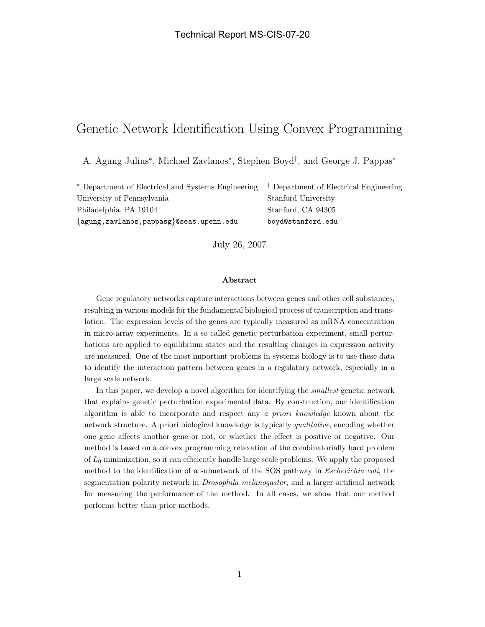# Genetic Network Identification Using Convex Programming

A. Agung Julius<sup>∗</sup> , Michael Zavlanos<sup>∗</sup> , Stephen Boyd† , and George J. Pappas<sup>∗</sup>

<sup>∗</sup> Department of Electrical and Systems Engineering † Department of Electrical Engineering University of Pennsylvania Stanford University Philadelphia, PA 19104 Stanford, CA 94305 {agung,zavlanos,pappasg}@seas.upenn.edu boyd@stanford.edu

July 26, 2007

#### Abstract

Gene regulatory networks capture interactions between genes and other cell substances, resulting in various models for the fundamental biological process of transcription and translation. The expression levels of the genes are typically measured as mRNA concentration in micro-array experiments. In a so called genetic perturbation experiment, small perturbations are applied to equilibrium states and the resulting changes in expression activity are measured. One of the most important problems in systems biology is to use these data to identify the interaction pattern between genes in a regulatory network, especially in a large scale network.

In this paper, we develop a novel algorithm for identifying the smallest genetic network that explains genetic perturbation experimental data. By construction, our identification algorithm is able to incorporate and respect any a priori knowledge known about the network structure. A priori biological knowledge is typically qualitative, encoding whether one gene affects another gene or not, or whether the effect is positive or negative. Our method is based on a convex programming relaxation of the combinatorially hard problem of  $L_0$  minimization, so it can efficiently handle large scale problems. We apply the proposed method to the identification of a subnetwork of the SOS pathway in Escherichia coli, the segmentation polarity network in Drosophila melanogaster, and a larger artificial network for measuring the performance of the method. In all cases, we show that our method performs better than prior methods.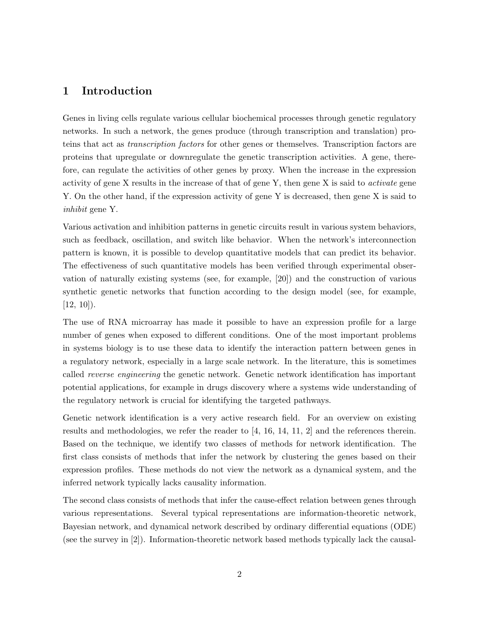# 1 Introduction

Genes in living cells regulate various cellular biochemical processes through genetic regulatory networks. In such a network, the genes produce (through transcription and translation) proteins that act as transcription factors for other genes or themselves. Transcription factors are proteins that upregulate or downregulate the genetic transcription activities. A gene, therefore, can regulate the activities of other genes by proxy. When the increase in the expression activity of gene X results in the increase of that of gene Y, then gene X is said to activate gene Y. On the other hand, if the expression activity of gene Y is decreased, then gene X is said to inhibit gene Y.

Various activation and inhibition patterns in genetic circuits result in various system behaviors, such as feedback, oscillation, and switch like behavior. When the network's interconnection pattern is known, it is possible to develop quantitative models that can predict its behavior. The effectiveness of such quantitative models has been verified through experimental observation of naturally existing systems (see, for example, [20]) and the construction of various synthetic genetic networks that function according to the design model (see, for example,  $[12, 10]$ .

The use of RNA microarray has made it possible to have an expression profile for a large number of genes when exposed to different conditions. One of the most important problems in systems biology is to use these data to identify the interaction pattern between genes in a regulatory network, especially in a large scale network. In the literature, this is sometimes called reverse engineering the genetic network. Genetic network identification has important potential applications, for example in drugs discovery where a systems wide understanding of the regulatory network is crucial for identifying the targeted pathways.

Genetic network identification is a very active research field. For an overview on existing results and methodologies, we refer the reader to [4, 16, 14, 11, 2] and the references therein. Based on the technique, we identify two classes of methods for network identification. The first class consists of methods that infer the network by clustering the genes based on their expression profiles. These methods do not view the network as a dynamical system, and the inferred network typically lacks causality information.

The second class consists of methods that infer the cause-effect relation between genes through various representations. Several typical representations are information-theoretic network, Bayesian network, and dynamical network described by ordinary differential equations (ODE) (see the survey in [2]). Information-theoretic network based methods typically lack the causal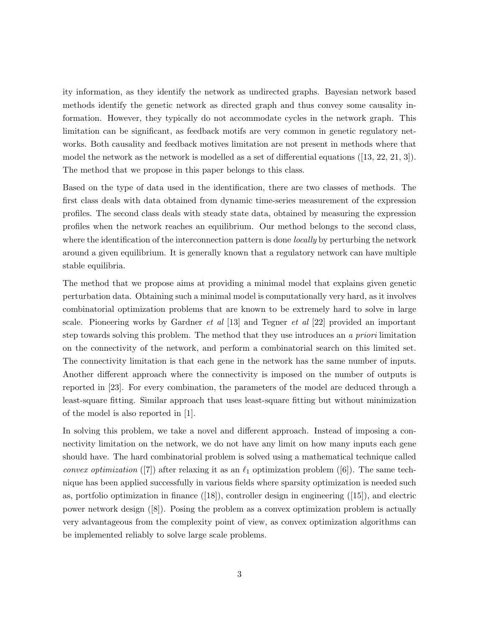ity information, as they identify the network as undirected graphs. Bayesian network based methods identify the genetic network as directed graph and thus convey some causality information. However, they typically do not accommodate cycles in the network graph. This limitation can be significant, as feedback motifs are very common in genetic regulatory networks. Both causality and feedback motives limitation are not present in methods where that model the network as the network is modelled as a set of differential equations ([13, 22, 21, 3]). The method that we propose in this paper belongs to this class.

Based on the type of data used in the identification, there are two classes of methods. The first class deals with data obtained from dynamic time-series measurement of the expression profiles. The second class deals with steady state data, obtained by measuring the expression profiles when the network reaches an equilibrium. Our method belongs to the second class, where the identification of the interconnection pattern is done *locally* by perturbing the network around a given equilibrium. It is generally known that a regulatory network can have multiple stable equilibria.

The method that we propose aims at providing a minimal model that explains given genetic perturbation data. Obtaining such a minimal model is computationally very hard, as it involves combinatorial optimization problems that are known to be extremely hard to solve in large scale. Pioneering works by Gardner *et al* [13] and Tegner *et al* [22] provided an important step towards solving this problem. The method that they use introduces an a priori limitation on the connectivity of the network, and perform a combinatorial search on this limited set. The connectivity limitation is that each gene in the network has the same number of inputs. Another different approach where the connectivity is imposed on the number of outputs is reported in [23]. For every combination, the parameters of the model are deduced through a least-square fitting. Similar approach that uses least-square fitting but without minimization of the model is also reported in [1].

In solving this problem, we take a novel and different approach. Instead of imposing a connectivity limitation on the network, we do not have any limit on how many inputs each gene should have. The hard combinatorial problem is solved using a mathematical technique called convex optimization ([7]) after relaxing it as an  $\ell_1$  optimization problem ([6]). The same technique has been applied successfully in various fields where sparsity optimization is needed such as, portfolio optimization in finance ([18]), controller design in engineering ([15]), and electric power network design ([8]). Posing the problem as a convex optimization problem is actually very advantageous from the complexity point of view, as convex optimization algorithms can be implemented reliably to solve large scale problems.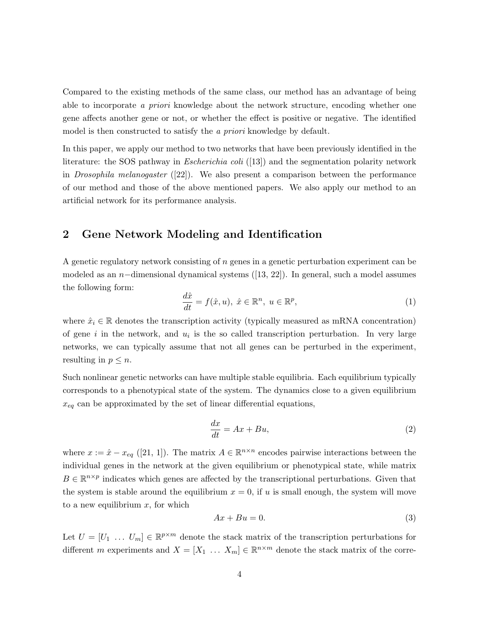Compared to the existing methods of the same class, our method has an advantage of being able to incorporate a priori knowledge about the network structure, encoding whether one gene affects another gene or not, or whether the effect is positive or negative. The identified model is then constructed to satisfy the *a priori* knowledge by default.

In this paper, we apply our method to two networks that have been previously identified in the literature: the SOS pathway in *Escherichia coli* ([13]) and the segmentation polarity network in *Drosophila melanogaster* ([22]). We also present a comparison between the performance of our method and those of the above mentioned papers. We also apply our method to an artificial network for its performance analysis.

# 2 Gene Network Modeling and Identification

A genetic regulatory network consisting of n genes in a genetic perturbation experiment can be modeled as an n−dimensional dynamical systems ([13, 22]). In general, such a model assumes the following form:

$$
\frac{d\hat{x}}{dt} = f(\hat{x}, u), \ \hat{x} \in \mathbb{R}^n, \ u \in \mathbb{R}^p,
$$
\n(1)

where  $\hat{x}_i \in \mathbb{R}$  denotes the transcription activity (typically measured as mRNA concentration) of gene i in the network, and  $u_i$  is the so called transcription perturbation. In very large networks, we can typically assume that not all genes can be perturbed in the experiment, resulting in  $p \leq n$ .

Such nonlinear genetic networks can have multiple stable equilibria. Each equilibrium typically corresponds to a phenotypical state of the system. The dynamics close to a given equilibrium  $x_{eq}$  can be approximated by the set of linear differential equations,

$$
\frac{dx}{dt} = Ax + Bu,\tag{2}
$$

where  $x := \hat{x} - x_{eq}$  ([21, 1]). The matrix  $A \in \mathbb{R}^{n \times n}$  encodes pairwise interactions between the individual genes in the network at the given equilibrium or phenotypical state, while matrix  $B \in \mathbb{R}^{n \times p}$  indicates which genes are affected by the transcriptional perturbations. Given that the system is stable around the equilibrium  $x = 0$ , if u is small enough, the system will move to a new equilibrium  $x$ , for which

$$
Ax + Bu = 0.\t\t(3)
$$

Let  $U = [U_1 \dots U_m] \in \mathbb{R}^{p \times m}$  denote the stack matrix of the transcription perturbations for different m experiments and  $X = [X_1 \dots X_m] \in \mathbb{R}^{n \times m}$  denote the stack matrix of the corre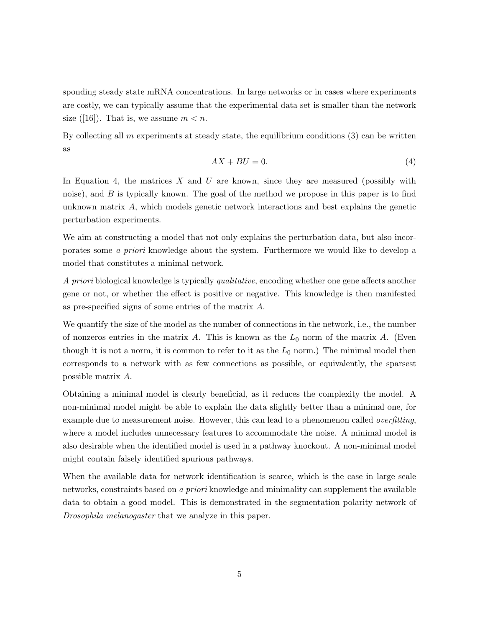sponding steady state mRNA concentrations. In large networks or in cases where experiments are costly, we can typically assume that the experimental data set is smaller than the network size ([16]). That is, we assume  $m < n$ .

By collecting all m experiments at steady state, the equilibrium conditions  $(3)$  can be written as

$$
AX + BU = 0.\t\t(4)
$$

In Equation 4, the matrices  $X$  and  $U$  are known, since they are measured (possibly with noise), and  $B$  is typically known. The goal of the method we propose in this paper is to find unknown matrix A, which models genetic network interactions and best explains the genetic perturbation experiments.

We aim at constructing a model that not only explains the perturbation data, but also incorporates some a priori knowledge about the system. Furthermore we would like to develop a model that constitutes a minimal network.

A priori biological knowledge is typically qualitative, encoding whether one gene affects another gene or not, or whether the effect is positive or negative. This knowledge is then manifested as pre-specified signs of some entries of the matrix A.

We quantify the size of the model as the number of connections in the network, i.e., the number of nonzeros entries in the matrix A. This is known as the  $L_0$  norm of the matrix A. (Even though it is not a norm, it is common to refer to it as the  $L_0$  norm.) The minimal model then corresponds to a network with as few connections as possible, or equivalently, the sparsest possible matrix A.

Obtaining a minimal model is clearly beneficial, as it reduces the complexity the model. A non-minimal model might be able to explain the data slightly better than a minimal one, for example due to measurement noise. However, this can lead to a phenomenon called *overfitting*, where a model includes unnecessary features to accommodate the noise. A minimal model is also desirable when the identified model is used in a pathway knockout. A non-minimal model might contain falsely identified spurious pathways.

When the available data for network identification is scarce, which is the case in large scale networks, constraints based on a priori knowledge and minimality can supplement the available data to obtain a good model. This is demonstrated in the segmentation polarity network of Drosophila melanogaster that we analyze in this paper.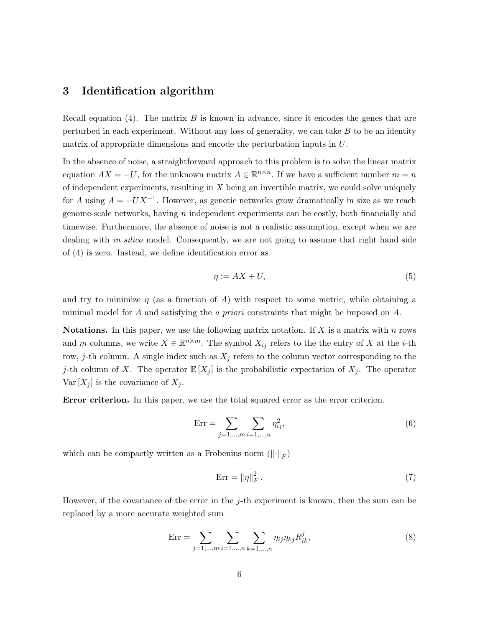# 3 Identification algorithm

Recall equation (4). The matrix  $B$  is known in advance, since it encodes the genes that are perturbed in each experiment. Without any loss of generality, we can take  $B$  to be an identity matrix of appropriate dimensions and encode the perturbation inputs in U.

In the absence of noise, a straightforward approach to this problem is to solve the linear matrix equation  $AX = -U$ , for the unknown matrix  $A \in \mathbb{R}^{n \times n}$ . If we have a sufficient number  $m = n$ of independent experiments, resulting in  $X$  being an invertible matrix, we could solve uniquely for A using  $A = -UX^{-1}$ . However, as genetic networks grow dramatically in size as we reach genome-scale networks, having n independent experiments can be costly, both financially and timewise. Furthermore, the absence of noise is not a realistic assumption, except when we are dealing with *in silico* model. Consequently, we are not going to assume that right hand side of (4) is zero. Instead, we define identification error as

$$
\eta := AX + U,\tag{5}
$$

and try to minimize  $\eta$  (as a function of A) with respect to some metric, while obtaining a minimal model for A and satisfying the a priori constraints that might be imposed on  $A$ .

**Notations.** In this paper, we use the following matrix notation. If  $X$  is a matrix with  $n$  rows and m columns, we write  $X \in \mathbb{R}^{n \times m}$ . The symbol  $X_{ij}$  refers to the the entry of X at the *i*-th row, j-th column. A single index such as  $X_j$  refers to the column vector corresponding to the j-th column of X. The operator  $\mathbb{E}[X_j]$  is the probabilistic expectation of  $X_j$ . The operator Var  $[X_i]$  is the covariance of  $X_i$ .

Error criterion. In this paper, we use the total squared error as the error criterion.

$$
Err = \sum_{j=1,\dots,m} \sum_{i=1,\dots,n} \eta_{ij}^2,\tag{6}
$$

which can be compactly written as a Frobenius norm  $(\lVert \cdot \rVert_F)$ 

$$
\text{Err} = \|\eta\|_F^2. \tag{7}
$$

However, if the covariance of the error in the  $j$ -th experiment is known, then the sum can be replaced by a more accurate weighted sum

$$
Err = \sum_{j=1,\dots,m} \sum_{i=1,\dots,n} \sum_{k=1,\dots,n} \eta_{ij} \eta_{kj} R_{ik}^j,
$$
\n(8)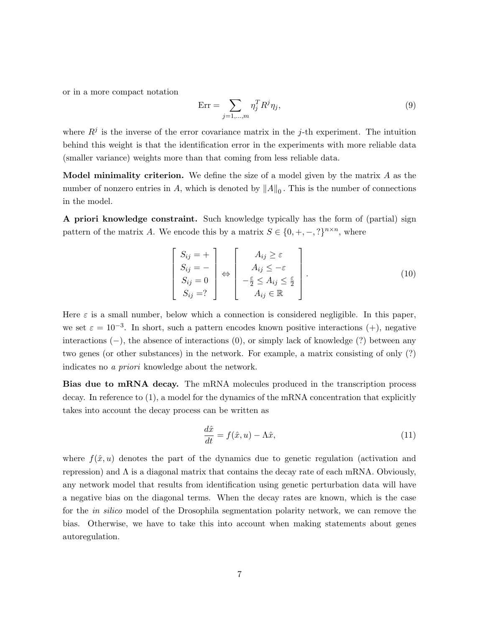or in a more compact notation

$$
Err = \sum_{j=1,\dots,m} \eta_j^T R^j \eta_j,\tag{9}
$$

where  $R^{j}$  is the inverse of the error covariance matrix in the j-th experiment. The intuition behind this weight is that the identification error in the experiments with more reliable data (smaller variance) weights more than that coming from less reliable data.

**Model minimality criterion.** We define the size of a model given by the matrix  $A$  as the number of nonzero entries in A, which is denoted by  $||A||_0$ . This is the number of connections in the model.

A priori knowledge constraint. Such knowledge typically has the form of (partial) sign pattern of the matrix A. We encode this by a matrix  $S \in \{0, +, -, ?\}^{n \times n}$ , where

$$
\begin{bmatrix}\nS_{ij} = + \\
S_{ij} = - \\
S_{ij} = 0 \\
S_{ij} = ?\n\end{bmatrix}\n\Leftrightarrow\n\begin{bmatrix}\nA_{ij} \ge \varepsilon \\
A_{ij} \le -\varepsilon \\
-\frac{\varepsilon}{2} \le A_{ij} \le \frac{\varepsilon}{2} \\
A_{ij} \in \mathbb{R}\n\end{bmatrix}.
$$
\n(10)

Here  $\varepsilon$  is a small number, below which a connection is considered negligible. In this paper, we set  $\varepsilon = 10^{-3}$ . In short, such a pattern encodes known positive interactions (+), negative interactions (−), the absence of interactions (0), or simply lack of knowledge (?) between any two genes (or other substances) in the network. For example, a matrix consisting of only (?) indicates no a priori knowledge about the network.

Bias due to mRNA decay. The mRNA molecules produced in the transcription process decay. In reference to  $(1)$ , a model for the dynamics of the mRNA concentration that explicitly takes into account the decay process can be written as

$$
\frac{d\hat{x}}{dt} = f(\hat{x}, u) - \Lambda \hat{x},\tag{11}
$$

where  $f(\hat{x}, u)$  denotes the part of the dynamics due to genetic regulation (activation and repression) and  $\Lambda$  is a diagonal matrix that contains the decay rate of each mRNA. Obviously, any network model that results from identification using genetic perturbation data will have a negative bias on the diagonal terms. When the decay rates are known, which is the case for the in silico model of the Drosophila segmentation polarity network, we can remove the bias. Otherwise, we have to take this into account when making statements about genes autoregulation.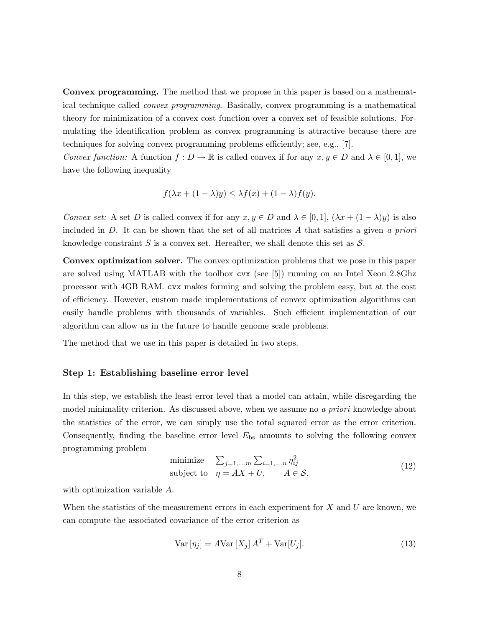Convex programming. The method that we propose in this paper is based on a mathematical technique called convex programming. Basically, convex programming is a mathematical theory for minimization of a convex cost function over a convex set of feasible solutions. Formulating the identification problem as convex programming is attractive because there are techniques for solving convex programming problems efficiently; see, e.g., [7].

Convex function: A function  $f: D \to \mathbb{R}$  is called convex if for any  $x, y \in D$  and  $\lambda \in [0, 1]$ , we have the following inequality

$$
f(\lambda x + (1 - \lambda)y) \leq \lambda f(x) + (1 - \lambda)f(y).
$$

Convex set: A set D is called convex if for any  $x, y \in D$  and  $\lambda \in [0,1]$ ,  $(\lambda x + (1 - \lambda)y)$  is also included in  $D$ . It can be shown that the set of all matrices  $A$  that satisfies a given  $a$  priori knowledge constraint  $S$  is a convex set. Hereafter, we shall denote this set as  $S$ .

Convex optimization solver. The convex optimization problems that we pose in this paper are solved using MATLAB with the toolbox cvx (see [5]) running on an Intel Xeon 2.8Ghz processor with 4GB RAM. cvx makes forming and solving the problem easy, but at the cost of efficiency. However, custom made implementations of convex optimization algorithms can easily handle problems with thousands of variables. Such efficient implementation of our algorithm can allow us in the future to handle genome scale problems.

The method that we use in this paper is detailed in two steps.

#### Step 1: Establishing baseline error level

In this step, we establish the least error level that a model can attain, while disregarding the model minimality criterion. As discussed above, when we assume no a priori knowledge about the statistics of the error, we can simply use the total squared error as the error criterion. Consequently, finding the baseline error level  $E_{bs}$  amounts to solving the following convex programming problem

minimize 
$$
\sum_{j=1,\dots,m} \sum_{i=1,\dots,n} \eta_{ij}^2
$$
  
subject to  $\eta = AX + U$ ,  $A \in \mathcal{S}$ , (12)

with optimization variable A.

When the statistics of the measurement errors in each experiment for  $X$  and  $U$  are known, we can compute the associated covariance of the error criterion as

$$
\text{Var}\left[\eta_j\right] = A \text{Var}\left[X_j\right] A^T + \text{Var}\left[U_j\right].\tag{13}
$$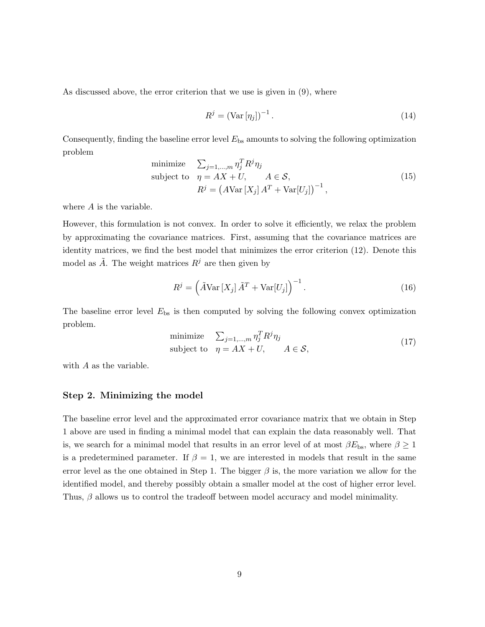As discussed above, the error criterion that we use is given in (9), where

$$
R^j = \left(\text{Var}\left[\eta_j\right]\right)^{-1}.\tag{14}
$$

Consequently, finding the baseline error level  $E_{\text{bs}}$  amounts to solving the following optimization problem

minimize 
$$
\sum_{j=1,\dots,m} \eta_j^T R^j \eta_j
$$
  
\nsubject to  $\eta = AX + U$ ,  $A \in S$ ,  
\n $R^j = (A \text{Var}[X_j] A^T + \text{Var}[U_j])^{-1}$ , (15)

where A is the variable.

However, this formulation is not convex. In order to solve it efficiently, we relax the problem by approximating the covariance matrices. First, assuming that the covariance matrices are identity matrices, we find the best model that minimizes the error criterion (12). Denote this model as  $\hat{A}$ . The weight matrices  $R^j$  are then given by

$$
R^{j} = \left(\tilde{A} \text{Var}\left[X_{j}\right] \tilde{A}^{T} + \text{Var}\left[U_{j}\right]\right)^{-1}.
$$
\n(16)

The baseline error level  $E_{\text{bs}}$  is then computed by solving the following convex optimization problem.

minimize 
$$
\sum_{j=1,\dots,m} \eta_j^T R^j \eta_j
$$
  
subject to  $\eta = AX + U$ ,  $A \in \mathcal{S}$ , (17)

with A as the variable.

#### Step 2. Minimizing the model

The baseline error level and the approximated error covariance matrix that we obtain in Step 1 above are used in finding a minimal model that can explain the data reasonably well. That is, we search for a minimal model that results in an error level of at most  $\beta E_{\rm bs}$ , where  $\beta \geq 1$ is a predetermined parameter. If  $\beta = 1$ , we are interested in models that result in the same error level as the one obtained in Step 1. The bigger  $\beta$  is, the more variation we allow for the identified model, and thereby possibly obtain a smaller model at the cost of higher error level. Thus,  $\beta$  allows us to control the tradeoff between model accuracy and model minimality.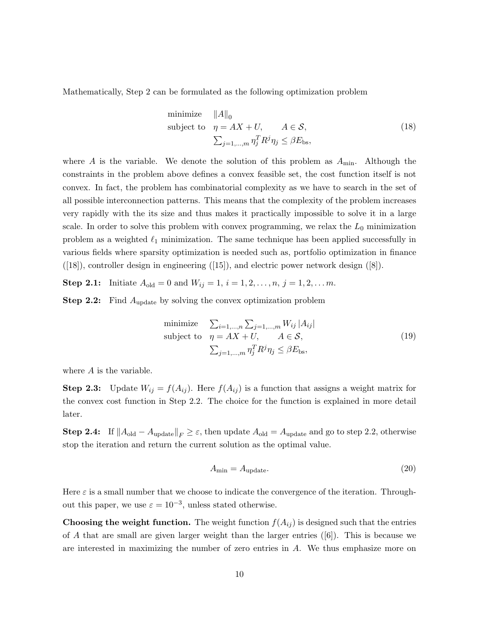Mathematically, Step 2 can be formulated as the following optimization problem

minimize 
$$
||A||_0
$$
  
\nsubject to  $\eta = AX + U$ ,  $A \in S$ ,  
\n
$$
\sum_{j=1,...,m} \eta_j^T R^j \eta_j \le \beta E_{\text{bs}},
$$
\n(18)

where A is the variable. We denote the solution of this problem as  $A_{\text{min}}$ . Although the constraints in the problem above defines a convex feasible set, the cost function itself is not convex. In fact, the problem has combinatorial complexity as we have to search in the set of all possible interconnection patterns. This means that the complexity of the problem increases very rapidly with the its size and thus makes it practically impossible to solve it in a large scale. In order to solve this problem with convex programming, we relax the  $L_0$  minimization problem as a weighted  $\ell_1$  minimization. The same technique has been applied successfully in various fields where sparsity optimization is needed such as, portfolio optimization in finance ([18]), controller design in engineering ([15]), and electric power network design ([8]).

**Step 2.1:** Initiate  $A_{old} = 0$  and  $W_{ij} = 1, i = 1, 2, ..., n, j = 1, 2, ...$  m.

**Step 2.2:** Find  $A_{update}$  by solving the convex optimization problem

minimize 
$$
\sum_{i=1,...,n} \sum_{j=1,...,m} W_{ij} |A_{ij}|
$$
  
\nsubject to  $\eta = AX + U, \qquad A \in S,$   
\n $\sum_{j=1,...,m} \eta_j^T R^j \eta_j \leq \beta E_{\text{bs}},$  (19)

where A is the variable.

**Step 2.3:** Update  $W_{ij} = f(A_{ij})$ . Here  $f(A_{ij})$  is a function that assigns a weight matrix for the convex cost function in Step 2.2. The choice for the function is explained in more detail later.

**Step 2.4:** If  $||A_{old} - A_{update}||_F \ge \varepsilon$ , then update  $A_{old} = A_{update}$  and go to step 2.2, otherwise stop the iteration and return the current solution as the optimal value.

$$
A_{\min} = A_{\text{update}}.\tag{20}
$$

Here  $\varepsilon$  is a small number that we choose to indicate the convergence of the iteration. Throughout this paper, we use  $\varepsilon = 10^{-3}$ , unless stated otherwise.

**Choosing the weight function.** The weight function  $f(A_{ij})$  is designed such that the entries of A that are small are given larger weight than the larger entries  $([6])$ . This is because we are interested in maximizing the number of zero entries in A. We thus emphasize more on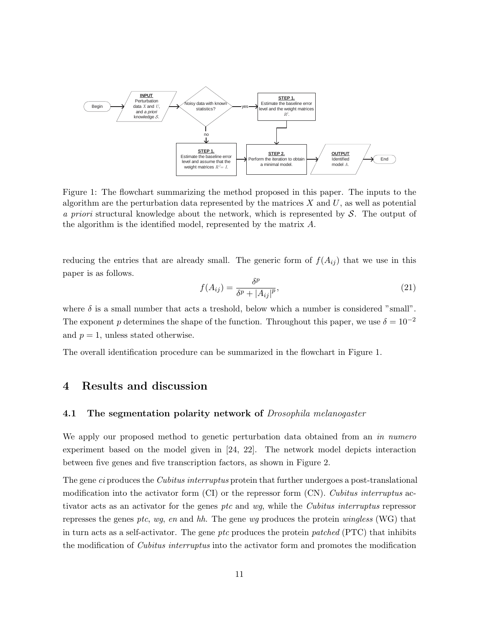

Figure 1: The flowchart summarizing the method proposed in this paper. The inputs to the algorithm are the perturbation data represented by the matrices  $X$  and  $U$ , as well as potential a priori structural knowledge about the network, which is represented by  $\mathcal{S}$ . The output of the algorithm is the identified model, represented by the matrix A.

reducing the entries that are already small. The generic form of  $f(A_{ij})$  that we use in this paper is as follows.

$$
f(A_{ij}) = \frac{\delta^p}{\delta^p + |A_{ij}|^p},\tag{21}
$$

where  $\delta$  is a small number that acts a treshold, below which a number is considered "small". The exponent p determines the shape of the function. Throughout this paper, we use  $\delta = 10^{-2}$ and  $p = 1$ , unless stated otherwise.

The overall identification procedure can be summarized in the flowchart in Figure 1.

### 4 Results and discussion

### 4.1 The segmentation polarity network of *Drosophila melanogaster*

We apply our proposed method to genetic perturbation data obtained from an in numero experiment based on the model given in [24, 22]. The network model depicts interaction between five genes and five transcription factors, as shown in Figure 2.

The gene *ci* produces the *Cubitus interruptus* protein that further undergoes a post-translational modification into the activator form  $(CI)$  or the repressor form  $(CN)$ . Cubitus interruptus activator acts as an activator for the genes ptc and wg, while the Cubitus interruptus repressor represses the genes ptc, wg, en and hh. The gene wg produces the protein wingless (WG) that in turn acts as a self-activator. The gene ptc produces the protein patched  $(PTC)$  that inhibits the modification of *Cubitus interruptus* into the activator form and promotes the modification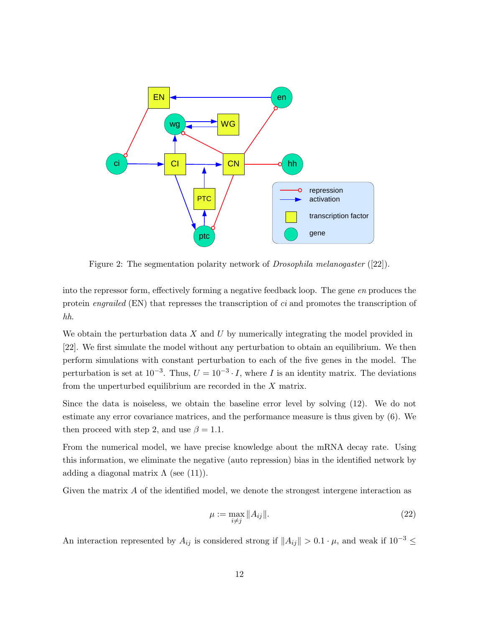

Figure 2: The segmentation polarity network of *Drosophila melanogaster* ([22]).

into the repressor form, effectively forming a negative feedback loop. The gene en produces the protein *engrailed* (EN) that represses the transcription of *ci* and promotes the transcription of hh.

We obtain the perturbation data  $X$  and  $U$  by numerically integrating the model provided in [22]. We first simulate the model without any perturbation to obtain an equilibrium. We then perform simulations with constant perturbation to each of the five genes in the model. The perturbation is set at  $10^{-3}$ . Thus,  $U = 10^{-3} \cdot I$ , where I is an identity matrix. The deviations from the unperturbed equilibrium are recorded in the X matrix.

Since the data is noiseless, we obtain the baseline error level by solving (12). We do not estimate any error covariance matrices, and the performance measure is thus given by (6). We then proceed with step 2, and use  $\beta = 1.1$ .

From the numerical model, we have precise knowledge about the mRNA decay rate. Using this information, we eliminate the negative (auto repression) bias in the identified network by adding a diagonal matrix  $\Lambda$  (see (11)).

Given the matrix A of the identified model, we denote the strongest intergene interaction as

$$
\mu := \max_{i \neq j} \|A_{ij}\|.\tag{22}
$$

An interaction represented by  $A_{ij}$  is considered strong if  $||A_{ij}|| > 0.1 \cdot \mu$ , and weak if  $10^{-3} \le$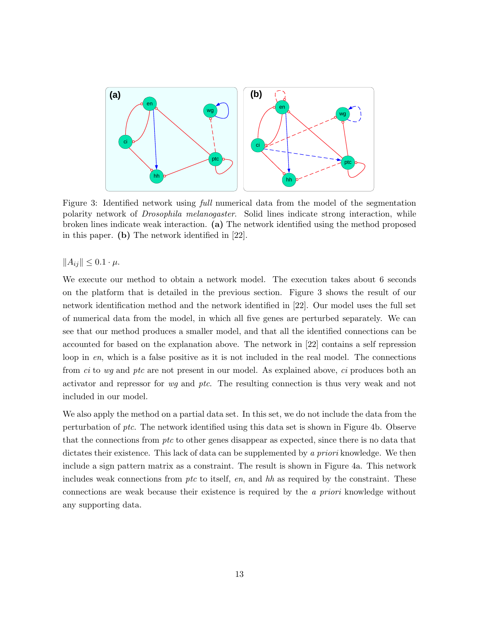

Figure 3: Identified network using full numerical data from the model of the segmentation polarity network of Drosophila melanogaster. Solid lines indicate strong interaction, while broken lines indicate weak interaction. (a) The network identified using the method proposed in this paper. (b) The network identified in [22].

 $||A_{ij}|| \leq 0.1 \cdot \mu$ .

We execute our method to obtain a network model. The execution takes about 6 seconds on the platform that is detailed in the previous section. Figure 3 shows the result of our network identification method and the network identified in [22]. Our model uses the full set of numerical data from the model, in which all five genes are perturbed separately. We can see that our method produces a smaller model, and that all the identified connections can be accounted for based on the explanation above. The network in [22] contains a self repression loop in en, which is a false positive as it is not included in the real model. The connections from *ci* to wg and ptc are not present in our model. As explained above, *ci* produces both an activator and repressor for wg and ptc. The resulting connection is thus very weak and not included in our model.

We also apply the method on a partial data set. In this set, we do not include the data from the perturbation of ptc. The network identified using this data set is shown in Figure 4b. Observe that the connections from ptc to other genes disappear as expected, since there is no data that dictates their existence. This lack of data can be supplemented by a priori knowledge. We then include a sign pattern matrix as a constraint. The result is shown in Figure 4a. This network includes weak connections from  $ptc$  to itself, en, and  $hh$  as required by the constraint. These connections are weak because their existence is required by the a priori knowledge without any supporting data.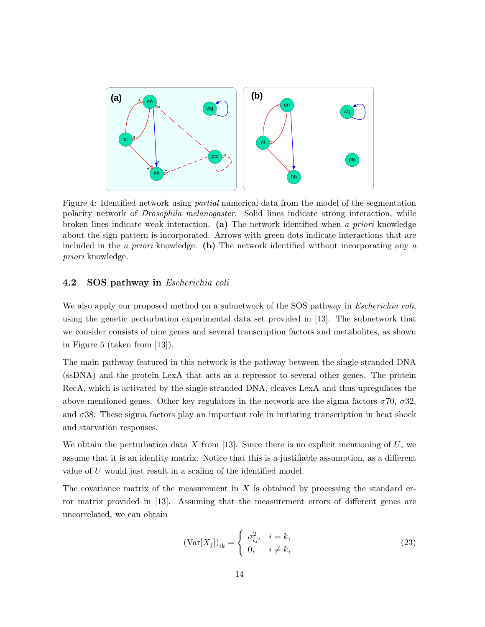

Figure 4: Identified network using *partial* numerical data from the model of the segmentation polarity network of Drosophila melanogaster. Solid lines indicate strong interaction, while broken lines indicate weak interaction. (a) The network identified when a priori knowledge about the sign pattern is incorporated. Arrows with green dots indicate interactions that are included in the *a priori* knowledge. (b) The network identified without incorporating any  $\alpha$ priori knowledge.

### 4.2 SOS pathway in Escherichia coli

We also apply our proposed method on a subnetwork of the SOS pathway in *Escherichia coli*, using the genetic perturbation experimental data set provided in [13]. The subnetwork that we consider consists of nine genes and several transcription factors and metabolites, as shown in Figure 5 (taken from [13]).

The main pathway featured in this network is the pathway between the single-stranded DNA (ssDNA) and the protein LexA that acts as a repressor to several other genes. The protein RecA, which is activated by the single-stranded DNA, cleaves LexA and thus upregulates the above mentioned genes. Other key regulators in the network are the sigma factors  $\sigma$ 70,  $\sigma$ 32, and  $\sigma$ 38. These sigma factors play an important role in initiating transcription in heat shock and starvation responses.

We obtain the perturbation data X from [13]. Since there is no explicit mentioning of  $U$ , we assume that it is an identity matrix. Notice that this is a justifiable assumption, as a different value of U would just result in a scaling of the identified model.

The covariance matrix of the measurement in X is obtained by processing the standard error matrix provided in [13]. Assuming that the measurement errors of different genes are uncorrelated, we can obtain

$$
(\text{Var}[X_j])_{ik} = \begin{cases} \sigma_{ij}^2, & i = k, \\ 0, & i \neq k, \end{cases} \tag{23}
$$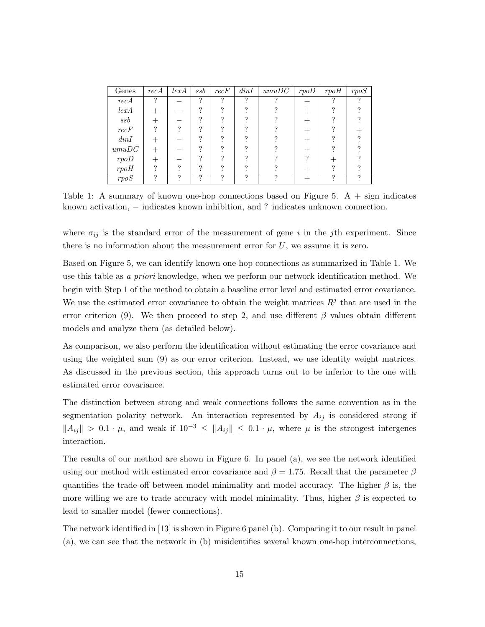| Genes                | recA          | lexA | $_{ssb}$ | $recF$   | dinI | umuDC | rpoD | rpoH     | rpoS |
|----------------------|---------------|------|----------|----------|------|-------|------|----------|------|
| recA                 | $\mathcal{P}$ |      | $\gamma$ | $\Omega$ | ?    | റ     |      | $\Omega$ | ച    |
| lexA                 |               |      | $\Omega$ |          |      |       |      |          |      |
| ssb                  |               |      | $\Omega$ |          |      |       |      |          |      |
| recF                 | ິ             | ິ    | ച        |          |      |       |      |          |      |
| dinI                 |               |      | $\Omega$ |          |      |       |      |          |      |
| $\boldsymbol{umuDC}$ |               |      | $\Omega$ |          |      |       |      |          |      |
| rpoD                 |               |      | $\Omega$ |          |      |       |      |          |      |
| rpoH                 |               |      | $\Omega$ |          |      |       |      |          |      |
| rpoS                 |               |      | $\Omega$ |          |      |       |      |          |      |

Table 1: A summary of known one-hop connections based on Figure 5.  $A + sign$  indicates known activation, − indicates known inhibition, and ? indicates unknown connection.

where  $\sigma_{ij}$  is the standard error of the measurement of gene i in the j<sup>th</sup> experiment. Since there is no information about the measurement error for  $U$ , we assume it is zero.

Based on Figure 5, we can identify known one-hop connections as summarized in Table 1. We use this table as a priori knowledge, when we perform our network identification method. We begin with Step 1 of the method to obtain a baseline error level and estimated error covariance. We use the estimated error covariance to obtain the weight matrices  $R<sup>j</sup>$  that are used in the error criterion (9). We then proceed to step 2, and use different  $\beta$  values obtain different models and analyze them (as detailed below).

As comparison, we also perform the identification without estimating the error covariance and using the weighted sum (9) as our error criterion. Instead, we use identity weight matrices. As discussed in the previous section, this approach turns out to be inferior to the one with estimated error covariance.

The distinction between strong and weak connections follows the same convention as in the segmentation polarity network. An interaction represented by  $A_{ij}$  is considered strong if  $||A_{ij}|| > 0.1 \cdot \mu$ , and weak if  $10^{-3} \leq ||A_{ij}|| \leq 0.1 \cdot \mu$ , where  $\mu$  is the strongest intergenes interaction.

The results of our method are shown in Figure 6. In panel (a), we see the network identified using our method with estimated error covariance and  $\beta = 1.75$ . Recall that the parameter  $\beta$ quantifies the trade-off between model minimality and model accuracy. The higher  $\beta$  is, the more willing we are to trade accuracy with model minimality. Thus, higher  $\beta$  is expected to lead to smaller model (fewer connections).

The network identified in [13] is shown in Figure 6 panel (b). Comparing it to our result in panel (a), we can see that the network in (b) misidentifies several known one-hop interconnections,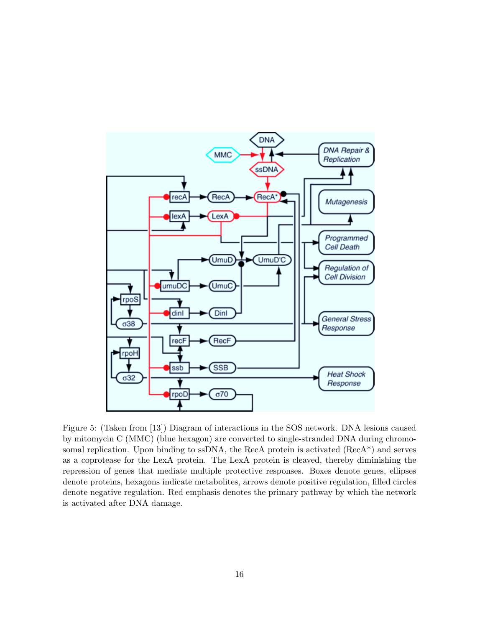

Figure 5: (Taken from [13]) Diagram of interactions in the SOS network. DNA lesions caused by mitomycin C (MMC) (blue hexagon) are converted to single-stranded DNA during chromosomal replication. Upon binding to ssDNA, the RecA protein is activated (RecA\*) and serves as a coprotease for the LexA protein. The LexA protein is cleaved, thereby diminishing the repression of genes that mediate multiple protective responses. Boxes denote genes, ellipses denote proteins, hexagons indicate metabolites, arrows denote positive regulation, filled circles denote negative regulation. Red emphasis denotes the primary pathway by which the network is activated after DNA damage.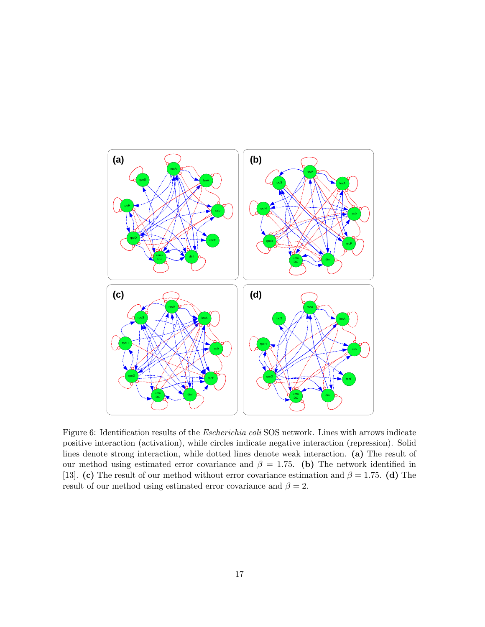

Figure 6: Identification results of the Escherichia coli SOS network. Lines with arrows indicate positive interaction (activation), while circles indicate negative interaction (repression). Solid lines denote strong interaction, while dotted lines denote weak interaction. (a) The result of our method using estimated error covariance and  $\beta = 1.75$ . (b) The network identified in [13]. (c) The result of our method without error covariance estimation and  $\beta = 1.75$ . (d) The result of our method using estimated error covariance and  $\beta = 2$ .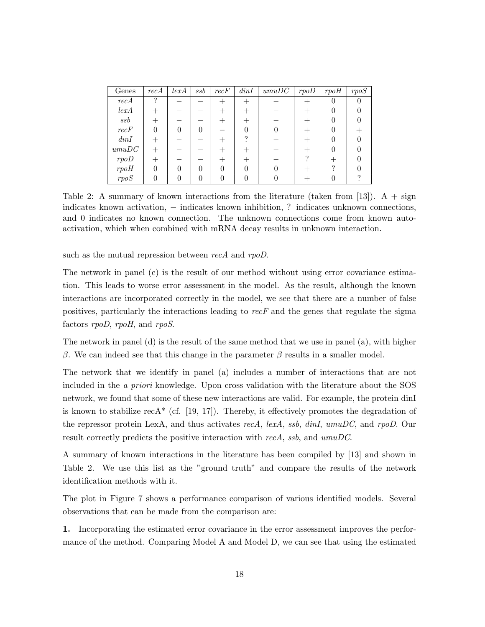| Genes                | recA         | lexA | ssb | $recF$ | dinI | umuDC | rpoD | rpoH | rpoS |
|----------------------|--------------|------|-----|--------|------|-------|------|------|------|
| recA                 | $\gamma$     |      |     |        |      |       |      | U    |      |
| lexA                 |              |      |     |        |      |       |      |      |      |
| ssb                  |              |      |     |        |      |       |      |      |      |
| recF                 | $\mathbf{0}$ |      |     |        | 0    |       |      |      |      |
| dinI                 |              |      |     |        |      |       |      |      |      |
| $\boldsymbol{umuDC}$ | $^{+}$       |      |     |        |      |       |      |      |      |
| rpoD                 |              |      |     |        |      |       | ິ    |      |      |
| rpoH                 |              |      |     |        |      |       |      |      |      |
| rpoS                 |              |      |     |        |      |       |      |      |      |

Table 2: A summary of known interactions from the literature (taken from [13]). A + sign indicates known activation, – indicates known inhibition, ? indicates unknown connections, and 0 indicates no known connection. The unknown connections come from known autoactivation, which when combined with mRNA decay results in unknown interaction.

such as the mutual repression between recA and rpoD.

The network in panel (c) is the result of our method without using error covariance estimation. This leads to worse error assessment in the model. As the result, although the known interactions are incorporated correctly in the model, we see that there are a number of false positives, particularly the interactions leading to  $recF$  and the genes that regulate the sigma factors rpoD, rpoH, and rpoS.

The network in panel (d) is the result of the same method that we use in panel (a), with higher β. We can indeed see that this change in the parameter β results in a smaller model.

The network that we identify in panel (a) includes a number of interactions that are not included in the a priori knowledge. Upon cross validation with the literature about the SOS network, we found that some of these new interactions are valid. For example, the protein dinI is known to stabilize recA\* (cf.  $[19, 17]$ ). Thereby, it effectively promotes the degradation of the repressor protein LexA, and thus activates recA, lexA, ssb, dinI, umuDC, and rpoD. Our result correctly predicts the positive interaction with rec $A$ , ssb, and umuDC.

A summary of known interactions in the literature has been compiled by [13] and shown in Table 2. We use this list as the "ground truth" and compare the results of the network identification methods with it.

The plot in Figure 7 shows a performance comparison of various identified models. Several observations that can be made from the comparison are:

1. Incorporating the estimated error covariance in the error assessment improves the performance of the method. Comparing Model A and Model D, we can see that using the estimated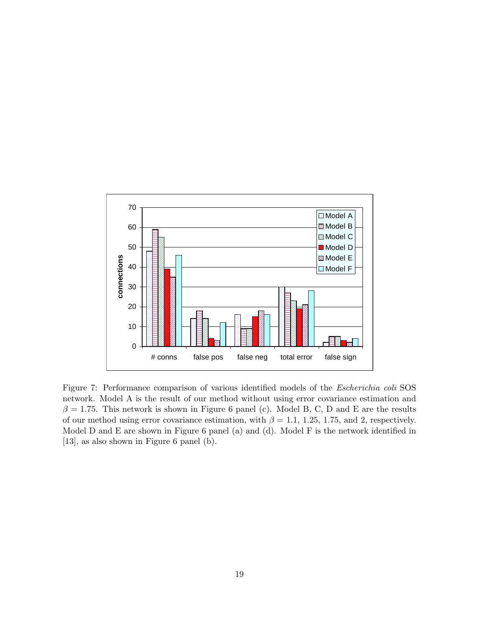

Figure 7: Performance comparison of various identified models of the Escherichia coli SOS network. Model A is the result of our method without using error covariance estimation and  $\beta = 1.75$ . This network is shown in Figure 6 panel (c). Model B, C, D and E are the results of our method using error covariance estimation, with  $\beta = 1.1, 1.25, 1.75,$  and 2, respectively. Model D and E are shown in Figure 6 panel (a) and (d). Model F is the network identified in [13], as also shown in Figure 6 panel (b).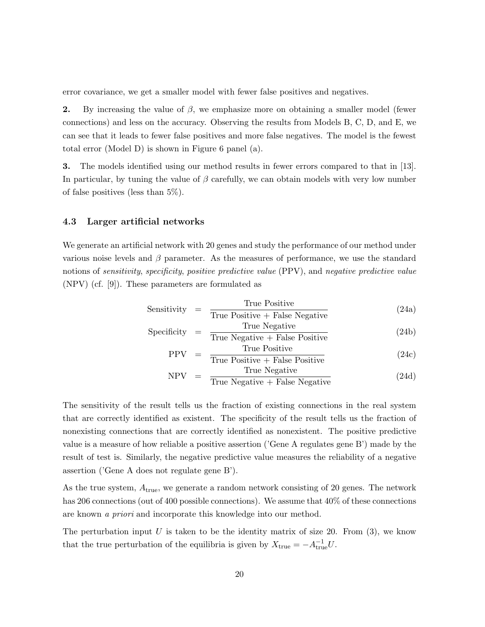error covariance, we get a smaller model with fewer false positives and negatives.

2. By increasing the value of  $\beta$ , we emphasize more on obtaining a smaller model (fewer connections) and less on the accuracy. Observing the results from Models B, C, D, and E, we can see that it leads to fewer false positives and more false negatives. The model is the fewest total error (Model D) is shown in Figure 6 panel (a).

3. The models identified using our method results in fewer errors compared to that in [13]. In particular, by tuning the value of  $\beta$  carefully, we can obtain models with very low number of false positives (less than 5%).

#### 4.3 Larger artificial networks

We generate an artificial network with 20 genes and study the performance of our method under various noise levels and  $\beta$  parameter. As the measures of performance, we use the standard notions of *sensitivity, specificity, positive predictive value* (PPV), and *negative predictive value* (NPV) (cf. [9]). These parameters are formulated as

Sensitivity = 
$$
\frac{\text{True Positive}}{\text{True Positive} + \text{False Negative}}
$$
 (24a)

$$
Specificity = \frac{True Negative}{True Negative + False Positive}
$$
\n(24b)

$$
PPV = \frac{True \ Positive}{True \ Positive + False \ Positive}
$$
 (24c)

$$
NPV = \frac{True \ Negative}{True \ Negative + False \ Negative}
$$
 (24d)

The sensitivity of the result tells us the fraction of existing connections in the real system that are correctly identified as existent. The specificity of the result tells us the fraction of nonexisting connections that are correctly identified as nonexistent. The positive predictive value is a measure of how reliable a positive assertion ('Gene A regulates gene B') made by the result of test is. Similarly, the negative predictive value measures the reliability of a negative assertion ('Gene A does not regulate gene B').

As the true system, Atrue, we generate a random network consisting of 20 genes. The network has 206 connections (out of 400 possible connections). We assume that  $40\%$  of these connections are known a priori and incorporate this knowledge into our method.

The perturbation input  $U$  is taken to be the identity matrix of size 20. From (3), we know that the true perturbation of the equilibria is given by  $X_{\text{true}} = -A_{\text{true}}^{-1}U$ .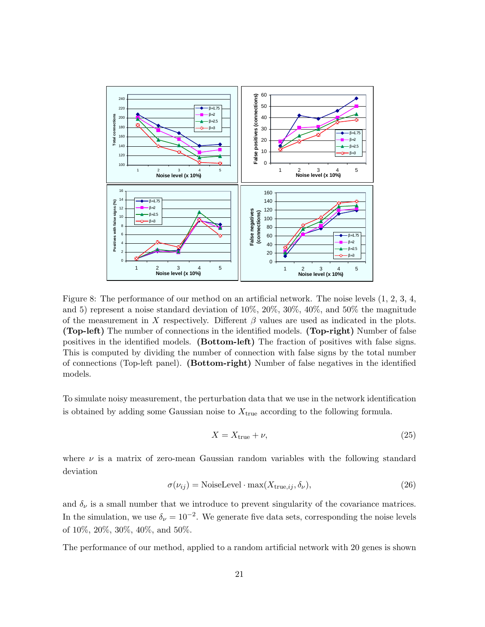

Figure 8: The performance of our method on an artificial network. The noise levels (1, 2, 3, 4, and 5) represent a noise standard deviation of 10%, 20%, 30%, 40%, and 50% the magnitude of the measurement in X respectively. Different  $\beta$  values are used as indicated in the plots. (Top-left) The number of connections in the identified models. (Top-right) Number of false positives in the identified models. (Bottom-left) The fraction of positives with false signs. This is computed by dividing the number of connection with false signs by the total number of connections (Top-left panel). (Bottom-right) Number of false negatives in the identified models.

To simulate noisy measurement, the perturbation data that we use in the network identification is obtained by adding some Gaussian noise to  $X_{true}$  according to the following formula.

$$
X = X_{\text{true}} + \nu,\tag{25}
$$

where  $\nu$  is a matrix of zero-mean Gaussian random variables with the following standard deviation

$$
\sigma(\nu_{ij}) = \text{NoiseLevel} \cdot \max(X_{\text{true},ij}, \delta_{\nu}),\tag{26}
$$

and  $\delta_{\nu}$  is a small number that we introduce to prevent singularity of the covariance matrices. In the simulation, we use  $\delta_{\nu} = 10^{-2}$ . We generate five data sets, corresponding the noise levels of 10%, 20%, 30%, 40%, and 50%.

The performance of our method, applied to a random artificial network with 20 genes is shown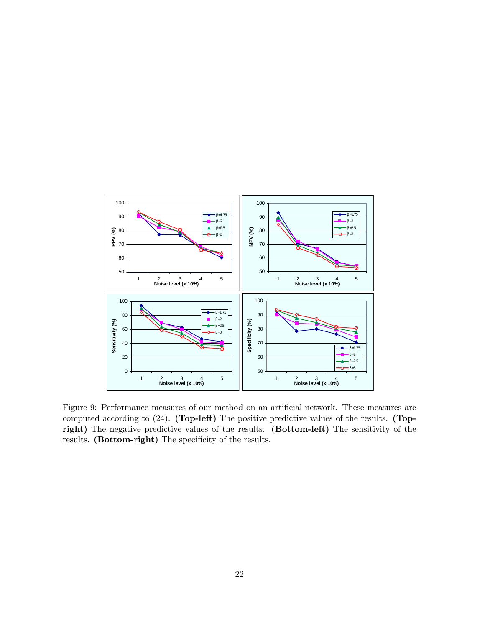

Figure 9: Performance measures of our method on an artificial network. These measures are computed according to (24). (Top-left) The positive predictive values of the results. (Topright) The negative predictive values of the results. (Bottom-left) The sensitivity of the results. (Bottom-right) The specificity of the results.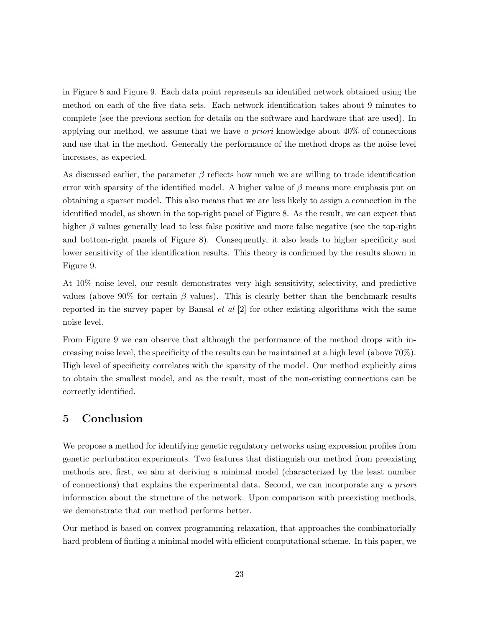in Figure 8 and Figure 9. Each data point represents an identified network obtained using the method on each of the five data sets. Each network identification takes about 9 minutes to complete (see the previous section for details on the software and hardware that are used). In applying our method, we assume that we have a priori knowledge about  $40\%$  of connections and use that in the method. Generally the performance of the method drops as the noise level increases, as expected.

As discussed earlier, the parameter  $\beta$  reflects how much we are willing to trade identification error with sparsity of the identified model. A higher value of  $\beta$  means more emphasis put on obtaining a sparser model. This also means that we are less likely to assign a connection in the identified model, as shown in the top-right panel of Figure 8. As the result, we can expect that higher  $\beta$  values generally lead to less false positive and more false negative (see the top-right and bottom-right panels of Figure 8). Consequently, it also leads to higher specificity and lower sensitivity of the identification results. This theory is confirmed by the results shown in Figure 9.

At 10% noise level, our result demonstrates very high sensitivity, selectivity, and predictive values (above 90% for certain  $\beta$  values). This is clearly better than the benchmark results reported in the survey paper by Bansal *et al*  $[2]$  for other existing algorithms with the same noise level.

From Figure 9 we can observe that although the performance of the method drops with increasing noise level, the specificity of the results can be maintained at a high level (above 70%). High level of specificity correlates with the sparsity of the model. Our method explicitly aims to obtain the smallest model, and as the result, most of the non-existing connections can be correctly identified.

# 5 Conclusion

We propose a method for identifying genetic regulatory networks using expression profiles from genetic perturbation experiments. Two features that distinguish our method from preexisting methods are, first, we aim at deriving a minimal model (characterized by the least number of connections) that explains the experimental data. Second, we can incorporate any a priori information about the structure of the network. Upon comparison with preexisting methods, we demonstrate that our method performs better.

Our method is based on convex programming relaxation, that approaches the combinatorially hard problem of finding a minimal model with efficient computational scheme. In this paper, we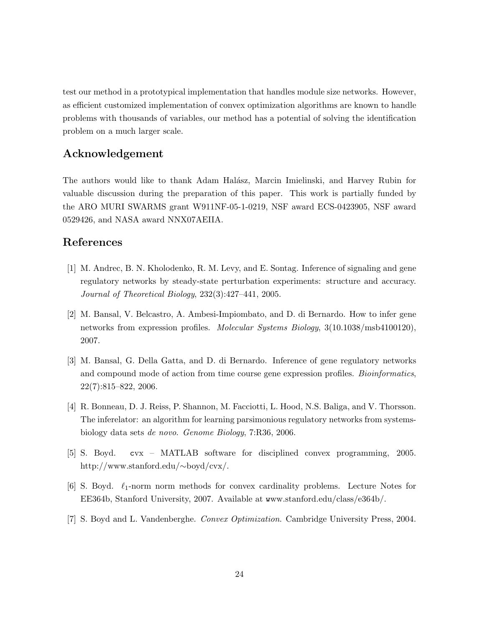test our method in a prototypical implementation that handles module size networks. However, as efficient customized implementation of convex optimization algorithms are known to handle problems with thousands of variables, our method has a potential of solving the identification problem on a much larger scale.

# Acknowledgement

The authors would like to thank Adam Halász, Marcin Imielinski, and Harvey Rubin for valuable discussion during the preparation of this paper. This work is partially funded by the ARO MURI SWARMS grant W911NF-05-1-0219, NSF award ECS-0423905, NSF award 0529426, and NASA award NNX07AEIIA.

### References

- [1] M. Andrec, B. N. Kholodenko, R. M. Levy, and E. Sontag. Inference of signaling and gene regulatory networks by steady-state perturbation experiments: structure and accuracy. Journal of Theoretical Biology, 232(3):427–441, 2005.
- [2] M. Bansal, V. Belcastro, A. Ambesi-Impiombato, and D. di Bernardo. How to infer gene networks from expression profiles. Molecular Systems Biology, 3(10.1038/msb4100120), 2007.
- [3] M. Bansal, G. Della Gatta, and D. di Bernardo. Inference of gene regulatory networks and compound mode of action from time course gene expression profiles. Bioinformatics, 22(7):815–822, 2006.
- [4] R. Bonneau, D. J. Reiss, P. Shannon, M. Facciotti, L. Hood, N.S. Baliga, and V. Thorsson. The inferelator: an algorithm for learning parsimonious regulatory networks from systemsbiology data sets de novo. Genome Biology, 7:R36, 2006.
- [5] S. Boyd. cvx MATLAB software for disciplined convex programming, 2005. http://www.stanford.edu/∼boyd/cvx/.
- [6] S. Boyd.  $\ell_1$ -norm norm methods for convex cardinality problems. Lecture Notes for EE364b, Stanford University, 2007. Available at www.stanford.edu/class/e364b/.
- [7] S. Boyd and L. Vandenberghe. Convex Optimization. Cambridge University Press, 2004.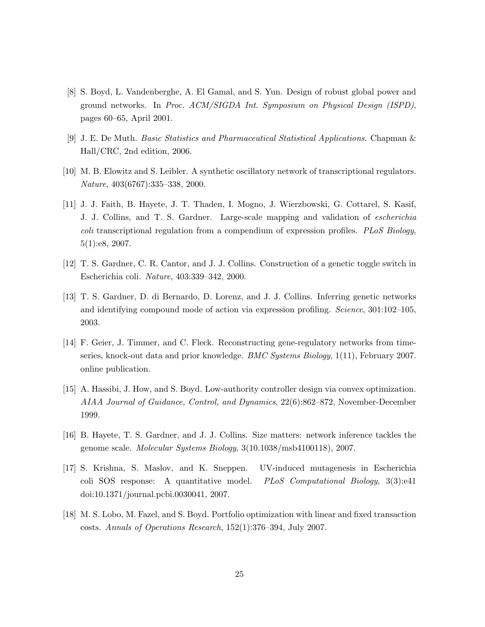- [8] S. Boyd, L. Vandenberghe, A. El Gamal, and S. Yun. Design of robust global power and ground networks. In Proc. ACM/SIGDA Int. Symposium on Physical Design (ISPD), pages 60–65, April 2001.
- [9] J. E. De Muth. Basic Statistics and Pharmaceutical Statistical Applications. Chapman & Hall/CRC, 2nd edition, 2006.
- [10] M. B. Elowitz and S. Leibler. A synthetic oscillatory network of transcriptional regulators. Nature, 403(6767):335–338, 2000.
- [11] J. J. Faith, B. Hayete, J. T. Thaden, I. Mogno, J. Wierzbowski, G. Cottarel, S. Kasif, J. J. Collins, and T. S. Gardner. Large-scale mapping and validation of escherichia coli transcriptional regulation from a compendium of expression profiles. PLoS Biology, 5(1):e8, 2007.
- [12] T. S. Gardner, C. R. Cantor, and J. J. Collins. Construction of a genetic toggle switch in Escherichia coli. Nature, 403:339–342, 2000.
- [13] T. S. Gardner, D. di Bernardo, D. Lorenz, and J. J. Collins. Inferring genetic networks and identifying compound mode of action via expression profiling. Science, 301:102–105, 2003.
- [14] F. Geier, J. Timmer, and C. Fleck. Reconstructing gene-regulatory networks from timeseries, knock-out data and prior knowledge. BMC Systems Biology, 1(11), February 2007. online publication.
- [15] A. Hassibi, J. How, and S. Boyd. Low-authority controller design via convex optimization. AIAA Journal of Guidance, Control, and Dynamics, 22(6):862–872, November-December 1999.
- [16] B. Hayete, T. S. Gardner, and J. J. Collins. Size matters: network inference tackles the genome scale. Molecular Systems Biology, 3(10.1038/msb4100118), 2007.
- [17] S. Krishna, S. Maslov, and K. Sneppen. UV-induced mutagenesis in Escherichia coli SOS response: A quantitative model. PLoS Computational Biology, 3(3):e41 doi:10.1371/journal.pcbi.0030041, 2007.
- [18] M. S. Lobo, M. Fazel, and S. Boyd. Portfolio optimization with linear and fixed transaction costs. Annals of Operations Research, 152(1):376–394, July 2007.